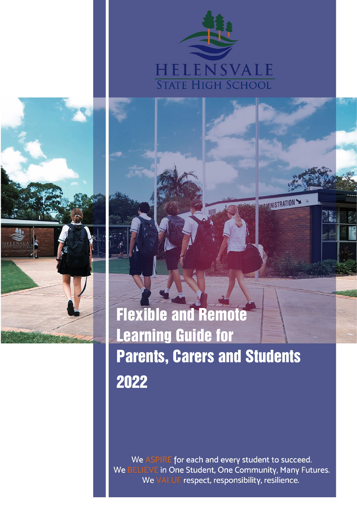

**DAMINISTRATION** 



**Flexible and Remote Learning Guidelines for Parents, Carers and Students** 2022Flexible and Remote Learning Guide for Parents, Carers and Students

Whether we are delivering in an online environment, or face to face to face at school, our learning purpose at continues to be the provision of high quality learning for each and every student which is exemplified

in our 'One Student, One Community, Many Futures' philosophy.

• Catering for the learning needs of each and every student. • Every student engaging meaningfully in their online learning.

> We ASPIRE for each and every student to succeed. We BELIEVE in One Student, One Community, Many Futures. We VALUE respect, responsibility, resilience.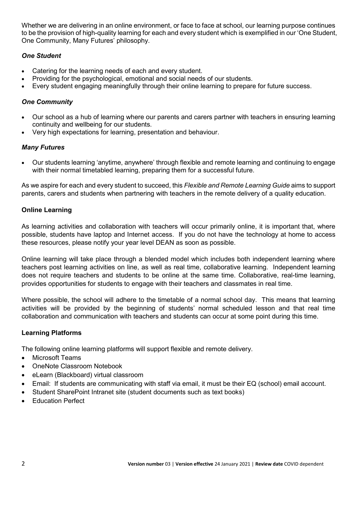Whether we are delivering in an online environment, or face to face at school, our learning purpose continues to be the provision of high-quality learning for each and every student which is exemplified in our 'One Student, One Community, Many Futures' philosophy.

## *One Student*

- Catering for the learning needs of each and every student.
- Providing for the psychological, emotional and social needs of our students.
- Every student engaging meaningfully through their online learning to prepare for future success.

## *One Community*

- Our school as a hub of learning where our parents and carers partner with teachers in ensuring learning continuity and wellbeing for our students.
- Very high expectations for learning, presentation and behaviour.

## *Many Futures*

• Our students learning 'anytime, anywhere' through flexible and remote learning and continuing to engage with their normal timetabled learning, preparing them for a successful future.

As we aspire for each and every student to succeed, this *Flexible and Remote Learning Guide* aims to support parents, carers and students when partnering with teachers in the remote delivery of a quality education.

## **Online Learning**

As learning activities and collaboration with teachers will occur primarily online, it is important that, where possible, students have laptop and Internet access. If you do not have the technology at home to access these resources, please notify your year level DEAN as soon as possible.

Online learning will take place through a blended model which includes both independent learning where teachers post learning activities on line, as well as real time, collaborative learning. Independent learning does not require teachers and students to be online at the same time. Collaborative, real-time learning, provides opportunities for students to engage with their teachers and classmates in real time.

Where possible, the school will adhere to the timetable of a normal school day. This means that learning activities will be provided by the beginning of students' normal scheduled lesson and that real time collaboration and communication with teachers and students can occur at some point during this time.

## **Learning Platforms**

The following online learning platforms will support flexible and remote delivery.

- Microsoft Teams
- OneNote Classroom Notebook
- eLearn (Blackboard) virtual classroom
- Email: If students are communicating with staff via email, it must be their EQ (school) email account.
- Student SharePoint Intranet site (student documents such as text books)
- Education Perfect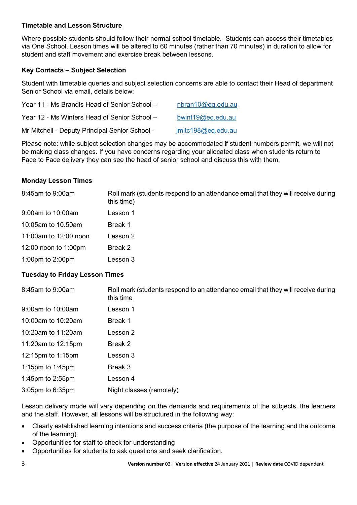## **Timetable and Lesson Structure**

Where possible students should follow their normal school timetable. Students can access their timetables via One School. Lesson times will be altered to 60 minutes (rather than 70 minutes) in duration to allow for student and staff movement and exercise break between lessons.

## **Key Contacts – Subject Selection**

Student with timetable queries and subject selection concerns are able to contact their Head of department Senior School via email, details below:

| Year 11 - Ms Brandis Head of Senior School -   | nbran10@eq.edu.au  |
|------------------------------------------------|--------------------|
| Year 12 - Ms Winters Head of Senior School –   | bwint19@eq.edu.au  |
| Mr Mitchell - Deputy Principal Senior School - | jmitc198@eq.edu.au |

Please note: while subject selection changes may be accommodated if student numbers permit, we will not be making class changes. If you have concerns regarding your allocated class when students return to Face to Face delivery they can see the head of senior school and discuss this with them.

### **Monday Lesson Times**

| 8:45am to 9:00am                      | Roll mark (students respond to an attendance email that they will receive during<br>this time) |  |  |  |  |
|---------------------------------------|------------------------------------------------------------------------------------------------|--|--|--|--|
| 9:00am to 10:00am                     | Lesson 1                                                                                       |  |  |  |  |
| 10:05am to 10.50am                    | Break 1                                                                                        |  |  |  |  |
| 11:00am to 12:00 noon                 | Lesson 2                                                                                       |  |  |  |  |
| 12:00 noon to 1:00pm                  | Break 2                                                                                        |  |  |  |  |
| 1:00pm to 2:00pm                      | Lesson 3                                                                                       |  |  |  |  |
| <b>Tuesday to Friday Lesson Times</b> |                                                                                                |  |  |  |  |
| 8:45am to 9:00am                      | Roll mark (students respond to an attendance email that they will receive during<br>this time  |  |  |  |  |
|                                       |                                                                                                |  |  |  |  |

| this time                |
|--------------------------|
| Lesson 1                 |
| Break 1                  |
| Lesson 2                 |
| Break 2                  |
| Lesson 3                 |
| Break 3                  |
| Lesson 4                 |
| Night classes (remotely) |
|                          |

Lesson delivery mode will vary depending on the demands and requirements of the subjects, the learners and the staff. However, all lessons will be structured in the following way:

- Clearly established learning intentions and success criteria (the purpose of the learning and the outcome of the learning)
- Opportunities for staff to check for understanding
- Opportunities for students to ask questions and seek clarification.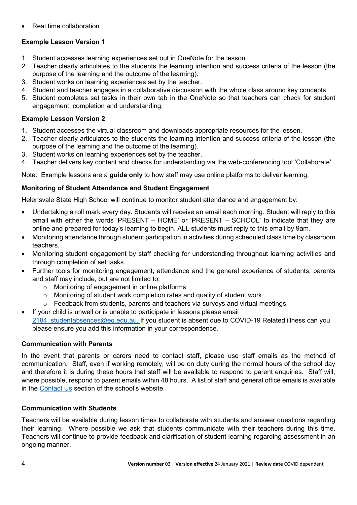• Real time collaboration

# **Example Lesson Version 1**

- 1. Student accesses learning experiences set out in OneNote for the lesson.
- 2. Teacher clearly articulates to the students the learning intention and success criteria of the lesson (the purpose of the learning and the outcome of the learning).
- 3. Student works on learning experiences set by the teacher.
- 4. Student and teacher engages in a collaborative discussion with the whole class around key concepts.
- 5. Student completes set tasks in their own tab in the OneNote so that teachers can check for student engagement, completion and understanding.

# **Example Lesson Version 2**

- 1. Student accesses the virtual classroom and downloads appropriate resources for the lesson.
- 2. Teacher clearly articulates to the students the learning intention and success criteria of the lesson (the purpose of the learning and the outcome of the learning).
- 3. Student works on learning experiences set by the teacher.
- 4. Teacher delivers key content and checks for understanding via the web-conferencing tool 'Collaborate'.

Note: Example lessons are a **guide only** to how staff may use online platforms to deliver learning.

# **Monitoring of Student Attendance and Student Engagement**

Helensvale State High School will continue to monitor student attendance and engagement by:

- Undertaking a roll mark every day. Students will receive an email each morning. Student will reply to this email with either the words 'PRESENT – HOME' or 'PRESENT – SCHOOL' to indicate that they are online and prepared for today's learning to begin. ALL students must reply to this email by 9am.
- Monitoring attendance through student participation in activities during scheduled class time by classroom teachers.
- Monitoring student engagement by staff checking for understanding throughout learning activities and through completion of set tasks.
- Further tools for monitoring engagement, attendance and the general experience of students, parents and staff may include, but are not limited to:
	- o Monitoring of engagement in online platforms
	- $\circ$  Monitoring of student work completion rates and quality of student work
	- $\circ$  Feedback from students, parents and teachers via surveys and virtual meetings.
- If your child is unwell or is unable to participate in lessons please email 2184 studentabsences@eq.edu.au. If you student is absent due to COVID-19 Related illness can you please ensure you add this information in your correspondence.

# **Communication with Parents**

In the event that parents or carers need to contact staff, please use staff emails as the method of communication. Staff, even if working remotely, will be on duty during the normal hours of the school day and therefore it is during these hours that staff will be available to respond to parent enquiries. Staff will, where possible, respond to parent emails within 48 hours. A list of staff and general office emails is available in the [Contact Us](https://helensvaleshs.eq.edu.au/our-school/contact-us) section of the school's website.

# **Communication with Students**

Teachers will be available during lesson times to collaborate with students and answer questions regarding their learning. Where possible we ask that students communicate with their teachers during this time. Teachers will continue to provide feedback and clarification of student learning regarding assessment in an ongoing manner.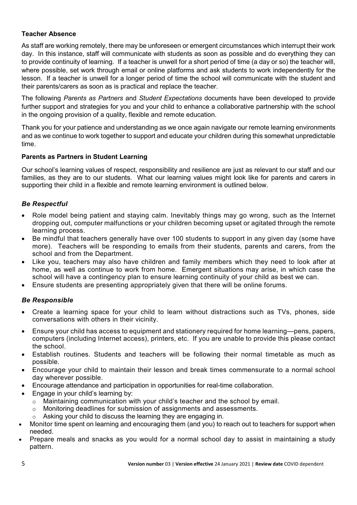## **Teacher Absence**

As staff are working remotely, there may be unforeseen or emergent circumstances which interrupt their work day. In this instance, staff will communicate with students as soon as possible and do everything they can to provide continuity of learning. If a teacher is unwell for a short period of time (a day or so) the teacher will, where possible, set work through email or online platforms and ask students to work independently for the lesson. If a teacher is unwell for a longer period of time the school will communicate with the student and their parents/carers as soon as is practical and replace the teacher.

The following *Parents as Partners* and *Student Expectations* documents have been developed to provide further support and strategies for you and your child to enhance a collaborative partnership with the school in the ongoing provision of a quality, flexible and remote education.

Thank you for your patience and understanding as we once again navigate our remote learning environments and as we continue to work together to support and educate your children during this somewhat unpredictable time.

## **Parents as Partners in Student Learning**

Our school's learning values of respect, responsibility and resilience are just as relevant to our staff and our families, as they are to our students. What our learning values might look like for parents and carers in supporting their child in a flexible and remote learning environment is outlined below.

## *Be Respectful*

- Role model being patient and staving calm. Inevitably things may go wrong, such as the Internet dropping out, computer malfunctions or your children becoming upset or agitated through the remote learning process.
- Be mindful that teachers generally have over 100 students to support in any given day (some have more). Teachers will be responding to emails from their students, parents and carers, from the school and from the Department.
- Like you, teachers may also have children and family members which they need to look after at home, as well as continue to work from home. Emergent situations may arise, in which case the school will have a contingency plan to ensure learning continuity of your child as best we can.
- Ensure students are presenting appropriately given that there will be online forums.

### *Be Responsible*

- Create a learning space for your child to learn without distractions such as TVs, phones, side conversations with others in their vicinity.
- Ensure your child has access to equipment and stationery required for home learning—pens, papers, computers (including Internet access), printers, etc. If you are unable to provide this please contact the school.
- Establish routines. Students and teachers will be following their normal timetable as much as possible.
- Encourage your child to maintain their lesson and break times commensurate to a normal school day wherever possible.
- Encourage attendance and participation in opportunities for real-time collaboration.
- Engage in your child's learning by:
	- o Maintaining communication with your child's teacher and the school by email.
	- $\circ$  Monitoring deadlines for submission of assignments and assessments.
	- Asking your child to discuss the learning they are engaging in.
- Monitor time spent on learning and encouraging them (and you) to reach out to teachers for support when needed.
- Prepare meals and snacks as you would for a normal school day to assist in maintaining a study pattern.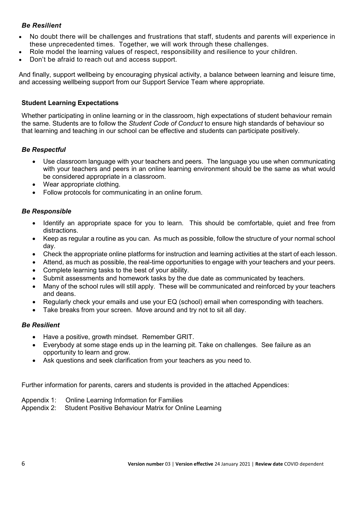## *Be Resilient*

- No doubt there will be challenges and frustrations that staff, students and parents will experience in these unprecedented times. Together, we will work through these challenges.
- Role model the learning values of respect, responsibility and resilience to your children.
- Don't be afraid to reach out and access support.

And finally, support wellbeing by encouraging physical activity, a balance between learning and leisure time, and accessing wellbeing support from our Support Service Team where appropriate.

#### **Student Learning Expectations**

Whether participating in online learning or in the classroom, high expectations of student behaviour remain the same. Students are to follow the *Student Code of Conduct* to ensure high standards of behaviour so that learning and teaching in our school can be effective and students can participate positively.

#### *Be Respectful*

- Use classroom language with your teachers and peers. The language you use when communicating with your teachers and peers in an online learning environment should be the same as what would be considered appropriate in a classroom.
- Wear appropriate clothing.
- Follow protocols for communicating in an online forum.

#### *Be Responsible*

- Identify an appropriate space for you to learn. This should be comfortable, quiet and free from distractions.
- Keep as regular a routine as you can. As much as possible, follow the structure of your normal school day.
- Check the appropriate online platforms for instruction and learning activities at the start of each lesson.
- Attend, as much as possible, the real-time opportunities to engage with your teachers and your peers.
- Complete learning tasks to the best of your ability.
- Submit assessments and homework tasks by the due date as communicated by teachers.
- Many of the school rules will still apply. These will be communicated and reinforced by your teachers and deans.
- Regularly check your emails and use your EQ (school) email when corresponding with teachers.
- Take breaks from your screen. Move around and try not to sit all day.

#### *Be Resilient*

- Have a positive, growth mindset. Remember GRIT.
- Everybody at some stage ends up in the learning pit. Take on challenges. See failure as an opportunity to learn and grow.
- Ask questions and seek clarification from your teachers as you need to.

Further information for parents, carers and students is provided in the attached Appendices:

#### Appendix 1: Online Learning Information for Families

Appendix 2: Student Positive Behaviour Matrix for Online Learning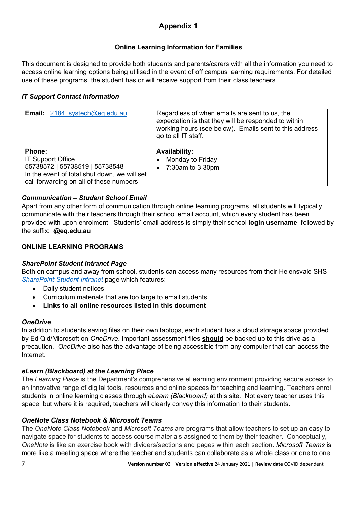# **Appendix 1**

## **Online Learning Information for Families**

This document is designed to provide both students and parents/carers with all the information you need to access online learning options being utilised in the event of off campus learning requirements. For detailed use of these programs, the student has or will receive support from their class teachers.

## *IT Support Contact Information*

| <b>Email:</b> 2184 systech@eq.edu.au         | Regardless of when emails are sent to us, the<br>expectation is that they will be responded to within<br>working hours (see below). Emails sent to this address<br>go to all IT staff. |
|----------------------------------------------|----------------------------------------------------------------------------------------------------------------------------------------------------------------------------------------|
| <b>Phone:</b>                                | <b>Availability:</b>                                                                                                                                                                   |
| <b>IT Support Office</b>                     | Monday to Friday                                                                                                                                                                       |
| 55738572   55738519   55738548               | $\bullet$                                                                                                                                                                              |
| In the event of total shut down, we will set | 7:30am to 3:30pm                                                                                                                                                                       |
| call forwarding on all of these numbers      | $\bullet$                                                                                                                                                                              |

## *Communication – Student School Email*

Apart from any other form of communication through online learning programs, all students will typically communicate with their teachers through their school email account, which every student has been provided with upon enrolment. Students' email address is simply their school **login username**, followed by the suffix: **@eq.edu.au**

## **ONLINE LEARNING PROGRAMS**

## *SharePoint Student Intranet Page*

Both on campus and away from school, students can access many resources from their Helensvale SHS *[SharePoint Student Intranet](https://qedu.sharepoint.com/sites/2184/student)* page which features:

- Daily student notices
- Curriculum materials that are too large to email students
- **Links to all online resources listed in this document**

## *OneDrive*

In addition to students saving files on their own laptops, each student has a cloud storage space provided by Ed Qld/Microsoft on *OneDrive*. Important assessment files **should** be backed up to this drive as a precaution. *OneDrive* also has the advantage of being accessible from any computer that can access the Internet.

## *eLearn (Blackboard) at the Learning Place*

The *Learning Place* is the Department's comprehensive eLearning environment providing secure access to an innovative range of digital tools, resources and online spaces for teaching and learning. Teachers enrol students in online learning classes through *eLearn (Blackboard)* at this site. Not every teacher uses this space, but where it is required, teachers will clearly convey this information to their students.

## *OneNote Class Notebook & Microsoft Teams*

The *OneNote Class Notebook* and *Microsoft Teams* are programs that allow teachers to set up an easy to navigate space for students to access course materials assigned to them by their teacher. Conceptually, *OneNote* is like an exercise book with dividers/sections and pages within each section. *Microsoft Teams* is more like a meeting space where the teacher and students can collaborate as a whole class or one to one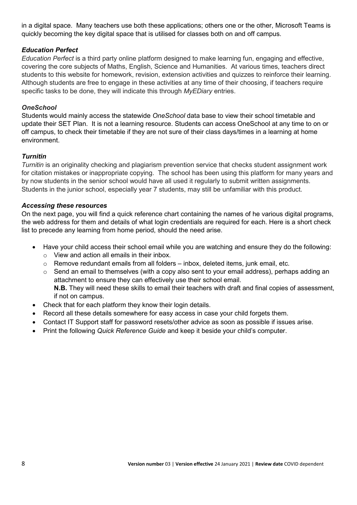in a digital space. Many teachers use both these applications; others one or the other, Microsoft Teams is quickly becoming the key digital space that is utilised for classes both on and off campus.

## *Education Perfect*

*Education Perfect* is a third party online platform designed to make learning fun, engaging and effective, covering the core subjects of Maths, English, Science and Humanities. At various times, teachers direct students to this website for homework, revision, extension activities and quizzes to reinforce their learning. Although students are free to engage in these activities at any time of their choosing, if teachers require specific tasks to be done, they will indicate this through *MyEDiary* entries.

### *OneSchool*

Students would mainly access the statewide *OneSchool* data base to view their school timetable and update their SET Plan. It is not a learning resource. Students can access OneSchool at any time to on or off campus, to check their timetable if they are not sure of their class days/times in a learning at home environment.

## *Turnitin*

*Turnitin* is an originality checking and plagiarism prevention service that checks student assignment work for citation mistakes or inappropriate copying. The school has been using this platform for many years and by now students in the senior school would have all used it regularly to submit written assignments. Students in the junior school, especially year 7 students, may still be unfamiliar with this product.

### *Accessing these resources*

On the next page, you will find a quick reference chart containing the names of he various digital programs, the web address for them and details of what login credentials are required for each. Here is a short check list to precede any learning from home period, should the need arise.

- Have your child access their school email while you are watching and ensure they do the following:
	- o View and action all emails in their inbox.
	- $\circ$  Remove redundant emails from all folders inbox, deleted items, junk email, etc.
	- $\circ$  Send an email to themselves (with a copy also sent to your email address), perhaps adding an attachment to ensure they can effectively use their school email. **N.B.** They will need these skills to email their teachers with draft and final copies of assessment, if not on campus.
- Check that for each platform they know their login details.
- Record all these details somewhere for easy access in case your child forgets them.
- Contact IT Support staff for password resets/other advice as soon as possible if issues arise.
- Print the following *Quick Reference Guide* and keep it beside your child's computer.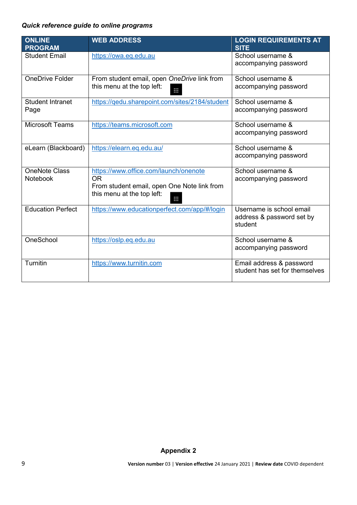## *Quick reference guide to online programs*

| <b>ONLINE</b>            | <b>WEB ADDRESS</b>                             | <b>LOGIN REQUIREMENTS AT</b>   |
|--------------------------|------------------------------------------------|--------------------------------|
| <b>PROGRAM</b>           |                                                | <b>SITE</b>                    |
| <b>Student Email</b>     | https://owa.eq.edu.au                          | School username &              |
|                          |                                                | accompanying password          |
|                          |                                                |                                |
| <b>OneDrive Folder</b>   | From student email, open OneDrive link from    | School username &              |
|                          | this menu at the top left:                     | accompanying password          |
|                          | Ш                                              |                                |
| <b>Student Intranet</b>  | https://qedu.sharepoint.com/sites/2184/student | School username &              |
| Page                     |                                                | accompanying password          |
|                          |                                                |                                |
| <b>Microsoft Teams</b>   | https://teams.microsoft.com                    | School username &              |
|                          |                                                | accompanying password          |
|                          |                                                |                                |
| eLearn (Blackboard)      | https://elearn.eq.edu.au/                      | School username &              |
|                          |                                                | accompanying password          |
|                          |                                                |                                |
| <b>OneNote Class</b>     | https://www.office.com/launch/onenote          | School username &              |
| Notebook                 | <b>OR</b>                                      | accompanying password          |
|                          | From student email, open One Note link from    |                                |
|                          | this menu at the top left:                     |                                |
|                          | m                                              |                                |
| <b>Education Perfect</b> | https://www.educationperfect.com/app/#/login   | Username is school email       |
|                          |                                                | address & password set by      |
|                          |                                                | student                        |
|                          |                                                |                                |
| OneSchool                | https://oslp.eq.edu.au                         | School username &              |
|                          |                                                | accompanying password          |
|                          |                                                |                                |
| <b>Turnitin</b>          | https://www.turnitin.com                       | Email address & password       |
|                          |                                                | student has set for themselves |
|                          |                                                |                                |

## **Appendix 2**